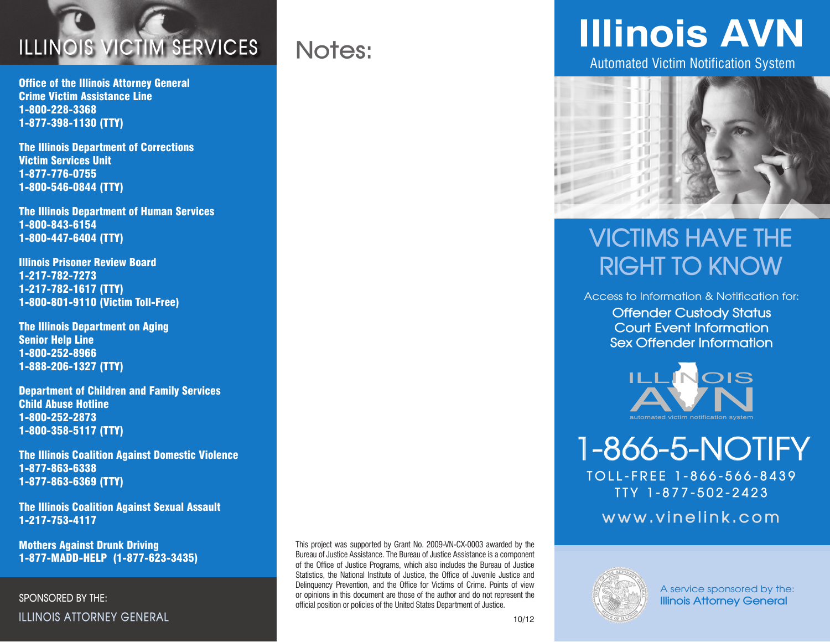

Office of the Illinois Attorney General Crime Victim Assistance Line 1-800-228-3368 1-877-398-1130 (TTY)

The Illinois Department of Corrections Victim Services Unit 1-877-776-0755 1-800-546-0844 (TTY)

The Illinois Department of Human Services 1-800-843-6154 1-800-447-6404 (TTY)

Illinois Prisoner Review Board 1-217-782-7273 1-217-782-1617 (TTY) 1-800-801-9110 (Victim Toll-Free)

The Illinois Department on Aging Senior Help Line 1-800-252-8966 1-888-206-1327 (TTY)

Department of Children and Family Services Child Abuse Hotline 1-800-252-2873 1-800-358-5117 (TTY)

The Illinois Coalition Against Domestic Violence 1-877-863-6338 1-877-863-6369 (TTY)

The Illinois Coalition Against Sexual Assault 1-217-753-4117

Mothers Against Drunk Driving 1-877-MADD-HELP (1-877-623-3435)

**SPONSORED BY THE: ILLINOIS ATTORNEY GENERAL**

This project was supported by Grant No. 2009-VN-CX-0003 awarded by the Bureau of Justice Assistance. The Bureau of Justice Assistance is a component of the Office of Justice Programs, which also includes the Bureau of Justice Statistics, the National Institute of Justice, the Office of Juvenile Justice and Delinquency Prevention, and the Office for Victims of Crime. Points of view or opinions in this document are those of the author and do not represent the official position or policies of the United States Department of Justice.

**Notes:**

# **Illinois AVN**

Automated Victim Notification System



## **VICTIMS HAVE THE RIGHT TO KNOW**

Access to Information & Notification for: **Offender Custody Status Court Event Information Sex Offender Information**



**1-866-5-NOTIFY**

**TOLL-FREE 1-866-566-8439 TTY 1-877-502-2423**

**www.vinelink.com**